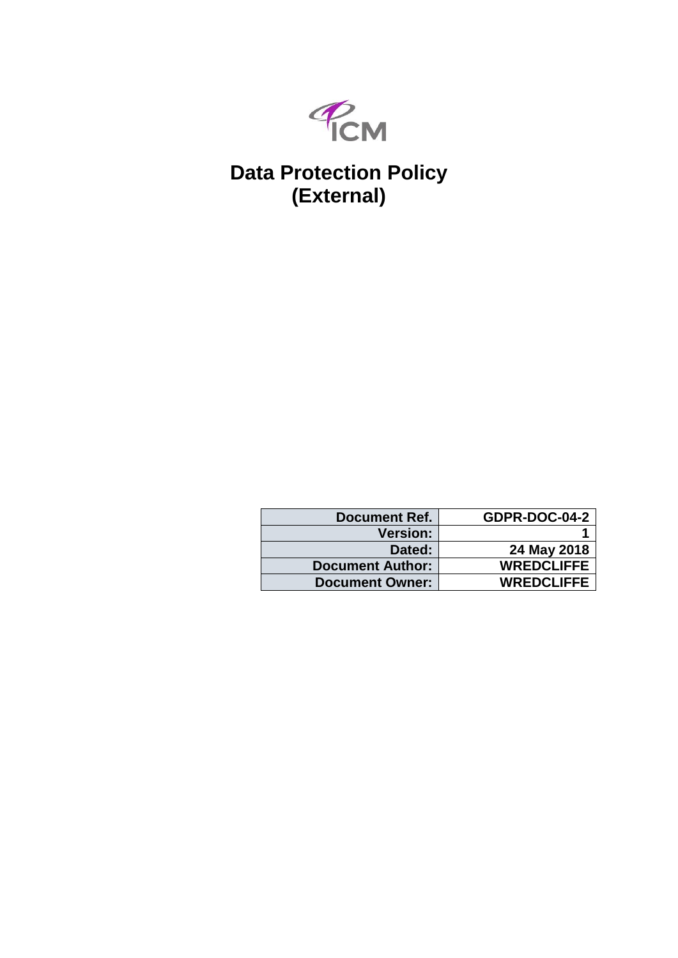

# **Data Protection Policy (External)**

| <b>Document Ref.</b>    | GDPR-DOC-04-2     |
|-------------------------|-------------------|
| <b>Version:</b>         |                   |
| Dated:                  | 24 May 2018       |
| <b>Document Author:</b> | <b>WREDCLIFFE</b> |
| <b>Document Owner:</b>  | <b>WREDCLIFFE</b> |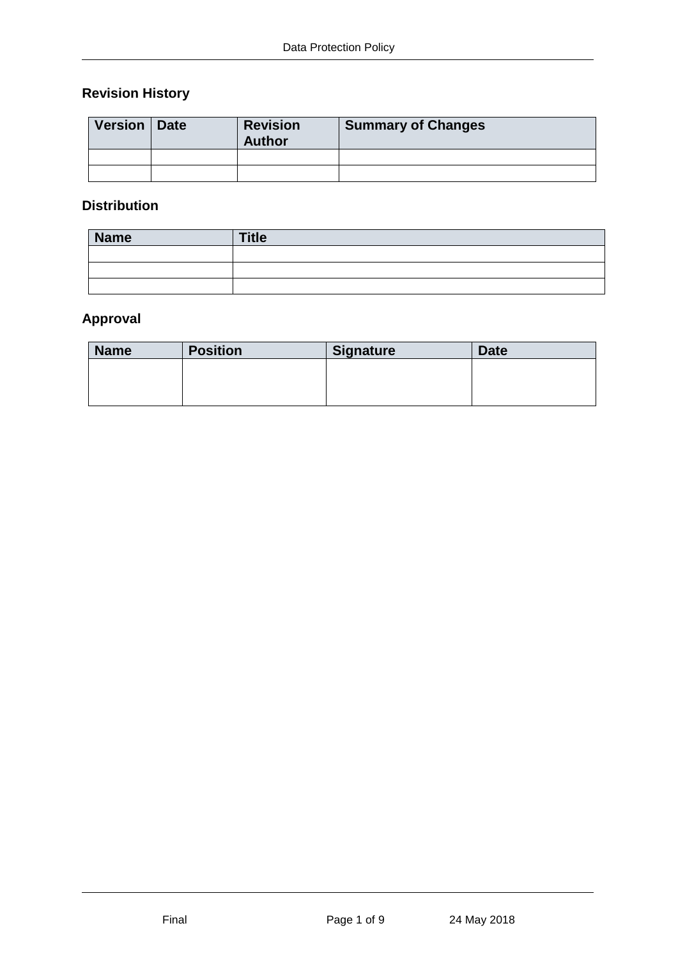# **Revision History**

| Version   Date | <b>Revision</b><br><b>Author</b> | <b>Summary of Changes</b> |
|----------------|----------------------------------|---------------------------|
|                |                                  |                           |
|                |                                  |                           |

## **Distribution**

| <b>Name</b> | <b>Title</b> |
|-------------|--------------|
|             |              |
|             |              |
|             |              |

# **Approval**

| <b>Name</b> | <b>Position</b> | <b>Signature</b> | <b>Date</b> |
|-------------|-----------------|------------------|-------------|
|             |                 |                  |             |
|             |                 |                  |             |
|             |                 |                  |             |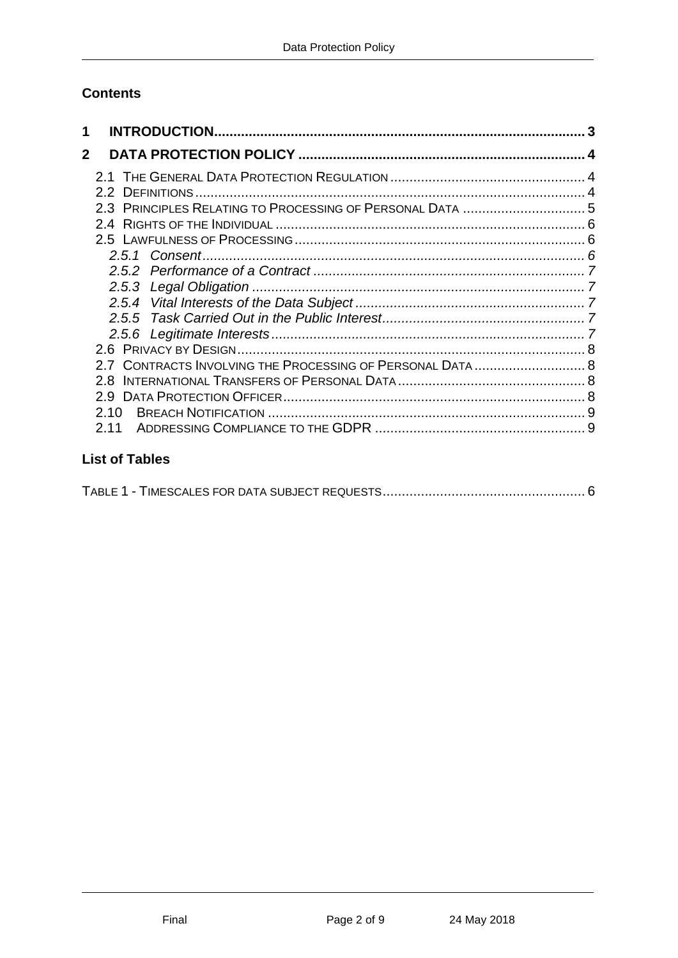# **Contents**

| 1            |                                                           |  |
|--------------|-----------------------------------------------------------|--|
| $\mathbf{2}$ |                                                           |  |
|              |                                                           |  |
|              |                                                           |  |
|              | 2.3 PRINCIPLES RELATING TO PROCESSING OF PERSONAL DATA 5  |  |
|              |                                                           |  |
|              |                                                           |  |
|              |                                                           |  |
|              |                                                           |  |
|              | 2.5.3                                                     |  |
|              |                                                           |  |
|              | 2.5.5                                                     |  |
|              |                                                           |  |
|              |                                                           |  |
|              | 2.7 CONTRACTS INVOLVING THE PROCESSING OF PERSONAL DATA 8 |  |
|              | 28                                                        |  |
|              |                                                           |  |
|              | 2.10                                                      |  |
|              | 2 1 1                                                     |  |
|              |                                                           |  |

# **List of Tables**

|--|--|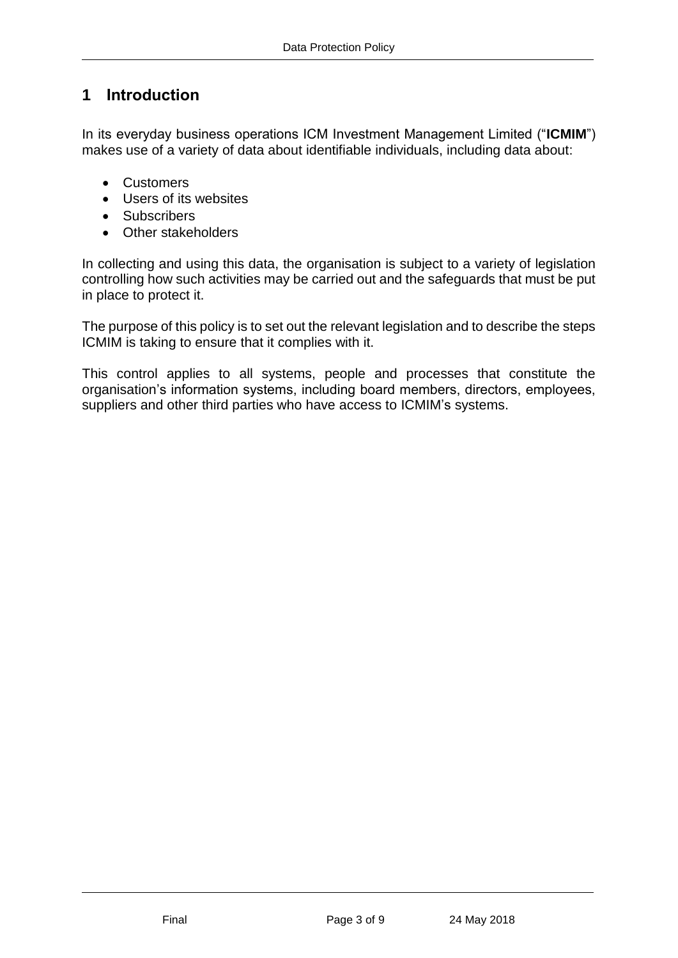# <span id="page-3-0"></span>**1 Introduction**

In its everyday business operations ICM Investment Management Limited ("**ICMIM**") makes use of a variety of data about identifiable individuals, including data about:

- Customers
- Users of its websites
- Subscribers
- Other stakeholders

In collecting and using this data, the organisation is subject to a variety of legislation controlling how such activities may be carried out and the safeguards that must be put in place to protect it.

The purpose of this policy is to set out the relevant legislation and to describe the steps ICMIM is taking to ensure that it complies with it.

This control applies to all systems, people and processes that constitute the organisation's information systems, including board members, directors, employees, suppliers and other third parties who have access to ICMIM's systems.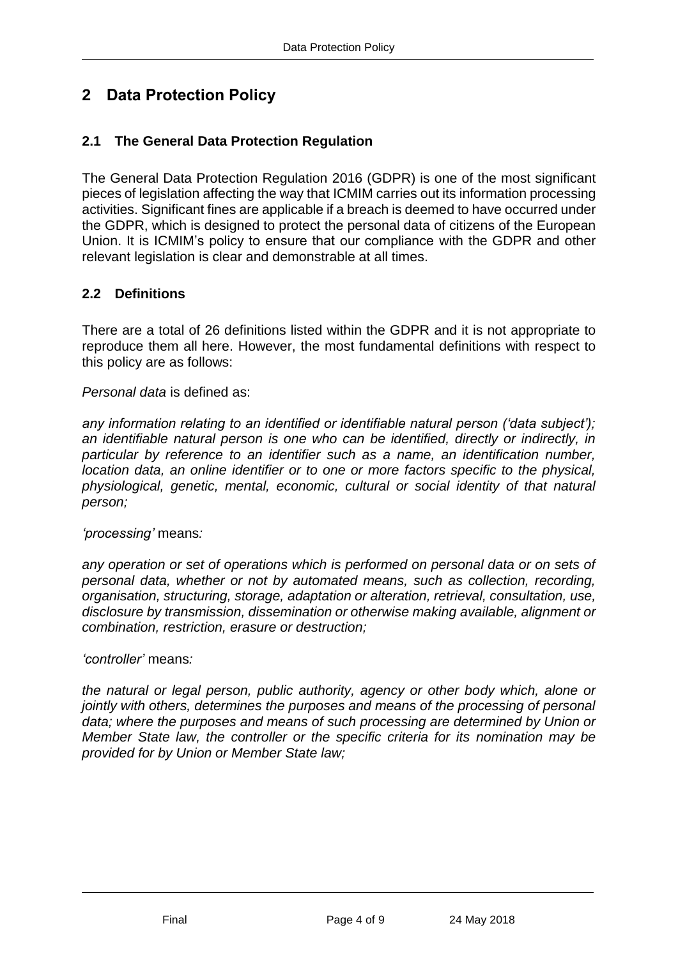# <span id="page-4-0"></span>**2 Data Protection Policy**

## <span id="page-4-1"></span>**2.1 The General Data Protection Regulation**

The General Data Protection Regulation 2016 (GDPR) is one of the most significant pieces of legislation affecting the way that ICMIM carries out its information processing activities. Significant fines are applicable if a breach is deemed to have occurred under the GDPR, which is designed to protect the personal data of citizens of the European Union. It is ICMIM's policy to ensure that our compliance with the GDPR and other relevant legislation is clear and demonstrable at all times.

## <span id="page-4-2"></span>**2.2 Definitions**

There are a total of 26 definitions listed within the GDPR and it is not appropriate to reproduce them all here. However, the most fundamental definitions with respect to this policy are as follows:

*Personal data* is defined as:

*any information relating to an identified or identifiable natural person ('data subject'); an identifiable natural person is one who can be identified, directly or indirectly, in particular by reference to an identifier such as a name, an identification number, location data, an online identifier or to one or more factors specific to the physical, physiological, genetic, mental, economic, cultural or social identity of that natural person;*

*'processing'* means*:*

*any operation or set of operations which is performed on personal data or on sets of personal data, whether or not by automated means, such as collection, recording, organisation, structuring, storage, adaptation or alteration, retrieval, consultation, use, disclosure by transmission, dissemination or otherwise making available, alignment or combination, restriction, erasure or destruction;*

*'controller'* means*:*

*the natural or legal person, public authority, agency or other body which, alone or jointly with others, determines the purposes and means of the processing of personal data; where the purposes and means of such processing are determined by Union or Member State law, the controller or the specific criteria for its nomination may be provided for by Union or Member State law;*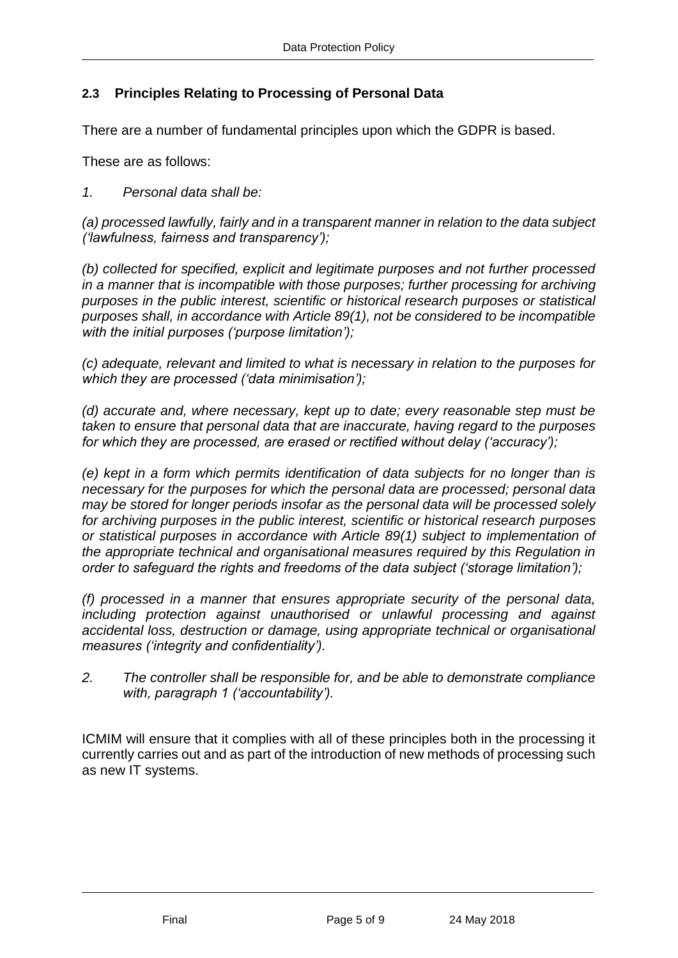## <span id="page-5-0"></span>**2.3 Principles Relating to Processing of Personal Data**

There are a number of fundamental principles upon which the GDPR is based.

These are as follows:

*1. Personal data shall be:*

*(a) processed lawfully, fairly and in a transparent manner in relation to the data subject ('lawfulness, fairness and transparency');*

*(b) collected for specified, explicit and legitimate purposes and not further processed in a manner that is incompatible with those purposes; further processing for archiving purposes in the public interest, scientific or historical research purposes or statistical purposes shall, in accordance with Article 89(1), not be considered to be incompatible with the initial purposes ('purpose limitation');*

*(c) adequate, relevant and limited to what is necessary in relation to the purposes for which they are processed ('data minimisation');*

*(d) accurate and, where necessary, kept up to date; every reasonable step must be taken to ensure that personal data that are inaccurate, having regard to the purposes for which they are processed, are erased or rectified without delay ('accuracy');*

*(e) kept in a form which permits identification of data subjects for no longer than is necessary for the purposes for which the personal data are processed; personal data may be stored for longer periods insofar as the personal data will be processed solely for archiving purposes in the public interest, scientific or historical research purposes or statistical purposes in accordance with Article 89(1) subject to implementation of the appropriate technical and organisational measures required by this Regulation in order to safeguard the rights and freedoms of the data subject ('storage limitation');*

*(f) processed in a manner that ensures appropriate security of the personal data, including protection against unauthorised or unlawful processing and against accidental loss, destruction or damage, using appropriate technical or organisational measures ('integrity and confidentiality').*

*2. The controller shall be responsible for, and be able to demonstrate compliance with, paragraph 1 ('accountability').*

ICMIM will ensure that it complies with all of these principles both in the processing it currently carries out and as part of the introduction of new methods of processing such as new IT systems.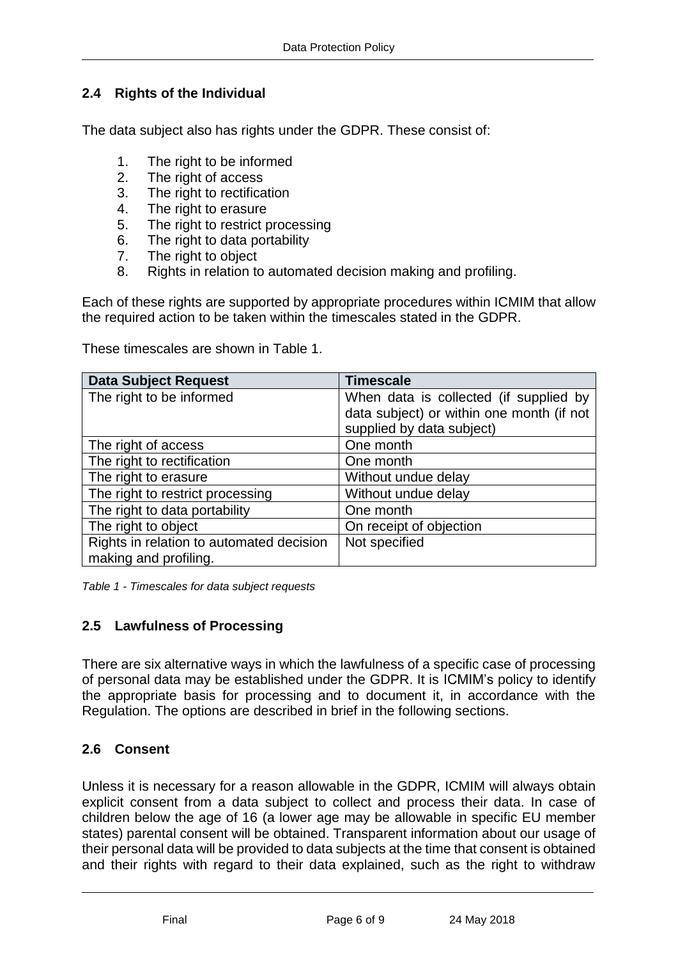# <span id="page-6-0"></span>**2.4 Rights of the Individual**

The data subject also has rights under the GDPR. These consist of:

- 1. The right to be informed
- 2. The right of access
- 3. The right to rectification
- 4. The right to erasure
- 5. The right to restrict processing
- 6. The right to data portability
- 7. The right to object
- 8. Rights in relation to automated decision making and profiling.

Each of these rights are supported by appropriate procedures within ICMIM that allow the required action to be taken within the timescales stated in the GDPR.

These timescales are shown in Table 1.

| <b>Data Subject Request</b>              | <b>Timescale</b>                          |
|------------------------------------------|-------------------------------------------|
| The right to be informed                 | When data is collected (if supplied by    |
|                                          | data subject) or within one month (if not |
|                                          | supplied by data subject)                 |
| The right of access                      | One month                                 |
| The right to rectification               | One month                                 |
| The right to erasure                     | Without undue delay                       |
| The right to restrict processing         | Without undue delay                       |
| The right to data portability            | One month                                 |
| The right to object                      | On receipt of objection                   |
| Rights in relation to automated decision | Not specified                             |
| making and profiling.                    |                                           |

<span id="page-6-3"></span>*Table 1 - Timescales for data subject requests*

## <span id="page-6-1"></span>**2.5 Lawfulness of Processing**

There are six alternative ways in which the lawfulness of a specific case of processing of personal data may be established under the GDPR. It is ICMIM's policy to identify the appropriate basis for processing and to document it, in accordance with the Regulation. The options are described in brief in the following sections.

## <span id="page-6-2"></span>**2.6 Consent**

Unless it is necessary for a reason allowable in the GDPR, ICMIM will always obtain explicit consent from a data subject to collect and process their data. In case of children below the age of 16 (a lower age may be allowable in specific EU member states) parental consent will be obtained. Transparent information about our usage of their personal data will be provided to data subjects at the time that consent is obtained and their rights with regard to their data explained, such as the right to withdraw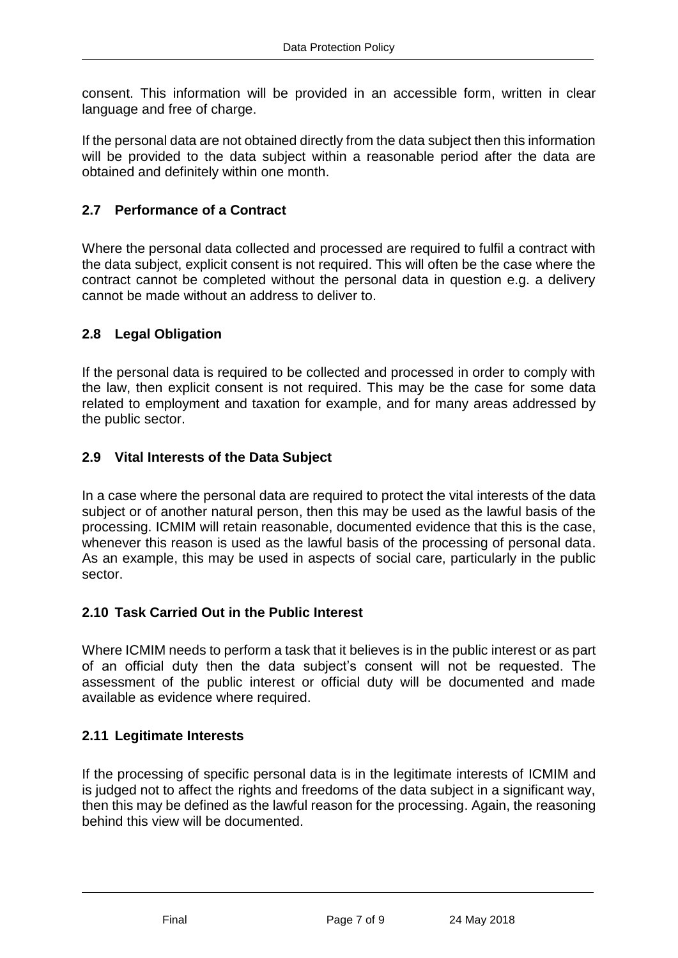consent. This information will be provided in an accessible form, written in clear language and free of charge.

If the personal data are not obtained directly from the data subject then this information will be provided to the data subject within a reasonable period after the data are obtained and definitely within one month.

## <span id="page-7-0"></span>**2.7 Performance of a Contract**

Where the personal data collected and processed are required to fulfil a contract with the data subject, explicit consent is not required. This will often be the case where the contract cannot be completed without the personal data in question e.g. a delivery cannot be made without an address to deliver to.

#### <span id="page-7-1"></span>**2.8 Legal Obligation**

If the personal data is required to be collected and processed in order to comply with the law, then explicit consent is not required. This may be the case for some data related to employment and taxation for example, and for many areas addressed by the public sector.

#### <span id="page-7-2"></span>**2.9 Vital Interests of the Data Subject**

In a case where the personal data are required to protect the vital interests of the data subject or of another natural person, then this may be used as the lawful basis of the processing. ICMIM will retain reasonable, documented evidence that this is the case, whenever this reason is used as the lawful basis of the processing of personal data. As an example, this may be used in aspects of social care, particularly in the public sector.

#### <span id="page-7-3"></span>**2.10 Task Carried Out in the Public Interest**

Where ICMIM needs to perform a task that it believes is in the public interest or as part of an official duty then the data subject's consent will not be requested. The assessment of the public interest or official duty will be documented and made available as evidence where required.

#### <span id="page-7-4"></span>**2.11 Legitimate Interests**

If the processing of specific personal data is in the legitimate interests of ICMIM and is judged not to affect the rights and freedoms of the data subject in a significant way, then this may be defined as the lawful reason for the processing. Again, the reasoning behind this view will be documented.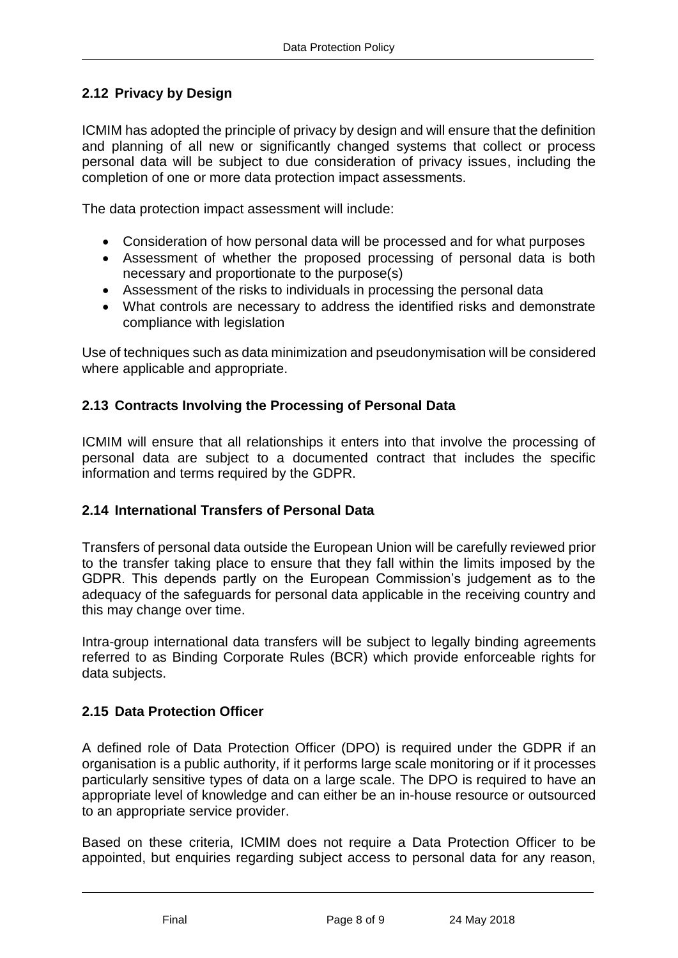## <span id="page-8-0"></span>**2.12 Privacy by Design**

ICMIM has adopted the principle of privacy by design and will ensure that the definition and planning of all new or significantly changed systems that collect or process personal data will be subject to due consideration of privacy issues, including the completion of one or more data protection impact assessments.

The data protection impact assessment will include:

- Consideration of how personal data will be processed and for what purposes
- Assessment of whether the proposed processing of personal data is both necessary and proportionate to the purpose(s)
- Assessment of the risks to individuals in processing the personal data
- What controls are necessary to address the identified risks and demonstrate compliance with legislation

Use of techniques such as data minimization and pseudonymisation will be considered where applicable and appropriate.

#### <span id="page-8-1"></span>**2.13 Contracts Involving the Processing of Personal Data**

ICMIM will ensure that all relationships it enters into that involve the processing of personal data are subject to a documented contract that includes the specific information and terms required by the GDPR.

#### <span id="page-8-2"></span>**2.14 International Transfers of Personal Data**

Transfers of personal data outside the European Union will be carefully reviewed prior to the transfer taking place to ensure that they fall within the limits imposed by the GDPR. This depends partly on the European Commission's judgement as to the adequacy of the safeguards for personal data applicable in the receiving country and this may change over time.

Intra-group international data transfers will be subject to legally binding agreements referred to as Binding Corporate Rules (BCR) which provide enforceable rights for data subjects.

#### <span id="page-8-3"></span>**2.15 Data Protection Officer**

A defined role of Data Protection Officer (DPO) is required under the GDPR if an organisation is a public authority, if it performs large scale monitoring or if it processes particularly sensitive types of data on a large scale. The DPO is required to have an appropriate level of knowledge and can either be an in-house resource or outsourced to an appropriate service provider.

Based on these criteria, ICMIM does not require a Data Protection Officer to be appointed, but enquiries regarding subject access to personal data for any reason,